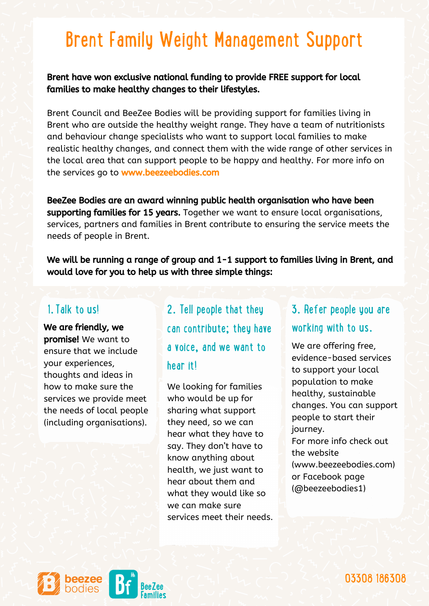## Brent Family Weight Management Support

Brent have won exclusive national funding to provide FREE support for local families to make healthy changes to their lifestyles.

Brent Council and BeeZee Bodies will be providing support for families living in Brent who are outside the healthy weight range. They have a team of nutritionists and behaviour change specialists who want to support local families to make realistic healthy changes, and connect them with the wide range of other services in the local area that can support people to be happy and healthy. For more info on the services go to www.beezeebodies.com

BeeZee Bodies are an award winning public health organisation who have been supporting families for 15 years. Together we want to ensure local organisations, services, partners and families in Brent contribute to ensuring the service meets the needs of people in Brent.

We will be running a range of group and 1-1 support to families living in Brent, and would love for you to help us with three simple things:

promise! We want to ensure that we include your experiences, thoughts and ideas in how to make sure the services we provide meet the needs of local people (including organisations).

1. Talk to us! 2. Tell people that they We are friendly, we we can contribute; they have working with to us. a voice, and we want to hear it!

> We looking for families who would be up for sharing what support they need, so we can hear what they have to say. They don't have to know anything about health, we just want to hear about them and what they would like so we can make sure services meet their needs.

## 3. Refer people you are

We are offering free, evidence-based services to support your local population to make healthy, sustainable changes. You can support people to start their journey. For more info check out the website ([www.beezeebodies.com](https://eur01.safelinks.protection.outlook.com/?url=http%3A%2F%2Fwww.beezeebodies.com%2F&data=04%7C01%7Csarrena.senior%40birmingham.gov.uk%7C7b2f6d93f4be4f824eef08d95d96a402%7C699ace67d2e44bcdb303d2bbe2b9bbf1%7C0%7C0%7C637643725845658735%7CUnknown%7CTWFpbGZsb3d8eyJWIjoiMC4wLjAwMDAiLCJQIjoiV2luMzIiLCJBTiI6Ik1haWwiLCJXVCI6Mn0%3D%7C1000&sdata=8%2F4yNpS4Z%2Fw%2B%2B10JGAb3dPxxJzqqSjFMFjdeyEhuHzM%3D&reserved=0)) or Facebook page (@beezeebodies1)